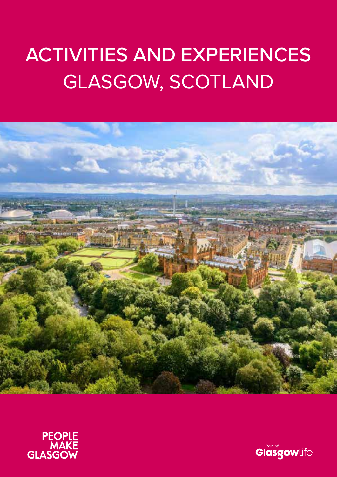# ACTIVITIES AND EXPERIENCES GLASGOW, SCOTLAND





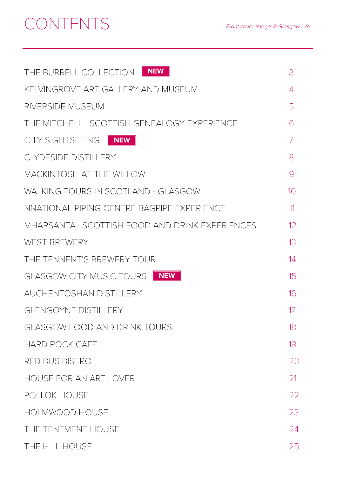# CONTENTS

| THE BURRELL COLLECTION FILM                    | 3              |
|------------------------------------------------|----------------|
| KELVINGROVE ART GALLERY AND MUSEUM             | 4              |
| RIVERSIDE MUSEUM                               | 5              |
| THE MITCHELL: SCOTTISH GENEALOGY EXPERIENCE    | 6              |
| CITY SIGHTSEEING FINEW                         | 7              |
| <b>CLYDESIDE DISTILLERY</b>                    | 8              |
| MACKINTOSH AT THE WILLOW                       | 9              |
| WALKING TOURS IN SCOTLAND - GLASGOW            | 1 <sup>o</sup> |
| NNATIONAL PIPING CENTRE BAGPIPE EXPERIENCE     | 11             |
| MHARSANTA: SCOTTISH FOOD AND DRINK EXPERIENCES | 12             |
| <b>WEST BREWERY</b>                            | 13             |
| THE TENNENT'S BREWERY TOUR                     | 14             |
| NEW<br>GLASGOW CITY MUSIC TOURS                | 15             |
| <b>AUCHENTOSHAN DISTILLERY</b>                 | 16             |
| <b>GLENGOYNE DISTILLERY</b>                    | 17             |
| <b>GLASGOW FOOD AND DRINK TOURS</b>            | 18             |
| <b>HARD ROCK CAFE</b>                          | 19             |
| <b>RED BUS BISTRO</b>                          | 20             |
| HOUSE FOR AN ART LOVER                         | 21             |
| POLLOK HOUSE                                   | 22             |
| HOLMWOOD HOUSE                                 | 23             |
| THE TENEMENT HOUSE                             | 24             |
| THE HILL HOUSE                                 | 25             |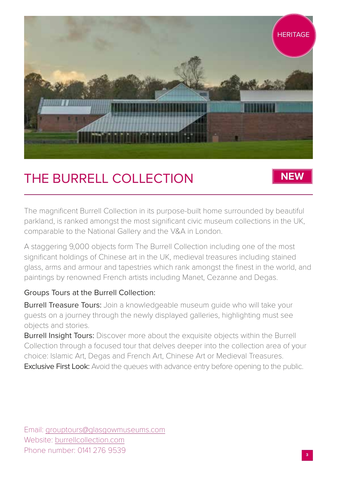

# THE BURRELL COLLECTION

**NEW**

The magnificent Burrell Collection in its purpose-built home surrounded by beautiful parkland, is ranked amongst the most significant civic museum collections in the UK, comparable to the National Gallery and the V&A in London.

A staggering 9,000 objects form The Burrell Collection including one of the most significant holdings of Chinese art in the UK, medieval treasures including stained glass, arms and armour and tapestries which rank amongst the finest in the world, and paintings by renowned French artists including Manet, Cezanne and Degas.

#### Groups Tours at the Burrell Collection:

Burrell Treasure Tours: Join a knowledgeable museum quide who will take your guests on a journey through the newly displayed galleries, highlighting must see objects and stories.

**Burrell Insight Tours:** Discover more about the exquisite objects within the Burrell Collection through a focused tour that delves deeper into the collection area of your choice: Islamic Art, Degas and French Art, Chinese Art or Medieval Treasures. **Exclusive First Look:** Avoid the queues with advance entry before opening to the public.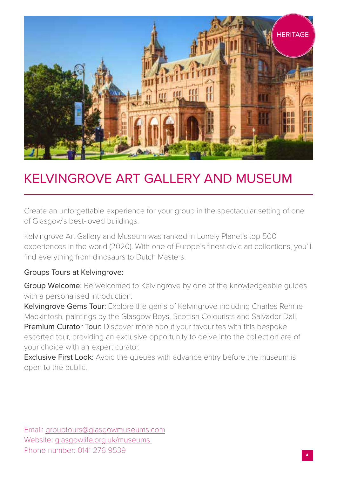

# KELVINGROVE ART GALLERY AND MUSEUM

Create an unforgettable experience for your group in the spectacular setting of one of Glasgow's best-loved buildings.

Kelvingrove Art Gallery and Museum was ranked in Lonely Planet's top 500 experiences in the world (2020). With one of Europe's finest civic art collections, you'll find everything from dinosaurs to Dutch Masters.

#### Groups Tours at Kelvingrove:

Group Welcome: Be welcomed to Kelvingrove by one of the knowledgeable guides with a personalised introduction.

Kelvingrove Gems Tour: Explore the gems of Kelvingrove including Charles Rennie Mackintosh, paintings by the Glasgow Boys, Scottish Colourists and Salvador Dali. Premium Curator Tour: Discover more about your favourites with this bespoke escorted tour, providing an exclusive opportunity to delve into the collection are of your choice with an expert curator.

**Exclusive First Look:** Avoid the queues with advance entry before the museum is open to the public.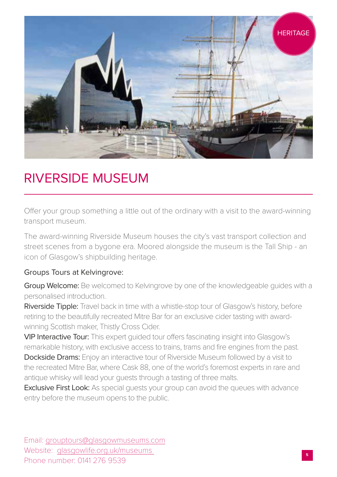

#### RIVERSIDE MUSEUM

Offer your group something a little out of the ordinary with a visit to the award-winning transport museum.

The award-winning Riverside Museum houses the city's vast transport collection and street scenes from a bygone era. Moored alongside the museum is the Tall Ship - an icon of Glasgow's shipbuilding heritage.

#### Groups Tours at Kelvingrove:

Group Welcome: Be welcomed to Kelvingrove by one of the knowledgeable guides with a personalised introduction.

Riverside Tipple: Travel back in time with a whistle-stop tour of Glasgow's history, before retiring to the beautifully recreated Mitre Bar for an exclusive cider tasting with awardwinning Scottish maker, Thistly Cross Cider.

VIP Interactive Tour: This expert guided tour offers fascinating insight into Glasgow's remarkable history, with exclusive access to trains, trams and fire engines from the past. Dockside Drams: Enjoy an interactive tour of Riverside Museum followed by a visit to the recreated Mitre Bar, where Cask 88, one of the world's foremost experts in rare and antique whisky will lead your guests through a tasting of three malts.

**Exclusive First Look:** As special quests your group can avoid the queues with advance entry before the museum opens to the public.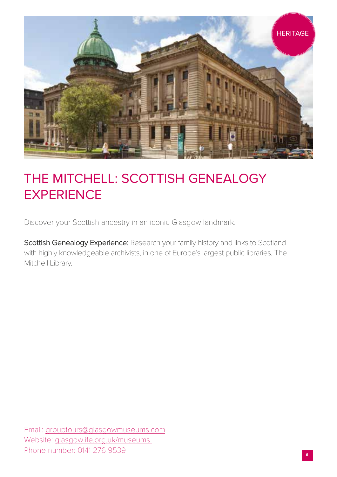

# THE MITCHELL: SCOTTISH GENEALOGY **EXPERIENCE**

Discover your Scottish ancestry in an iconic Glasgow landmark.

Scottish Genealogy Experience: Research your family history and links to Scotland with highly knowledgeable archivists, in one of Europe's largest public libraries, The Mitchell Library.

Email: grouptours@glasgowmuseums.com Website: glasgowlife.org.uk/museums Phone number: 0141 276 9539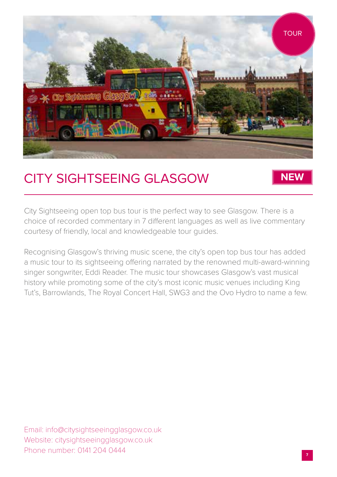

### CITY SIGHTSEEING GLASGOW

#### **NEW**

City Sightseeing open top bus tour is the perfect way to see Glasgow. There is a choice of recorded commentary in 7 different languages as well as live commentary courtesy of friendly, local and knowledgeable tour guides.

Recognising Glasgow's thriving music scene, the city's open top bus tour has added a music tour to its sightseeing offering narrated by the renowned multi-award-winning singer songwriter, Eddi Reader. The music tour showcases Glasgow's vast musical history while promoting some of the city's most iconic music venues including King Tut's, Barrowlands, The Royal Concert Hall, SWG3 and the Ovo Hydro to name a few.

Email: info@citysightseeingglasgow.co.uk Website: citysightseeingglasgow.co.uk Phone number: 0141 204 0444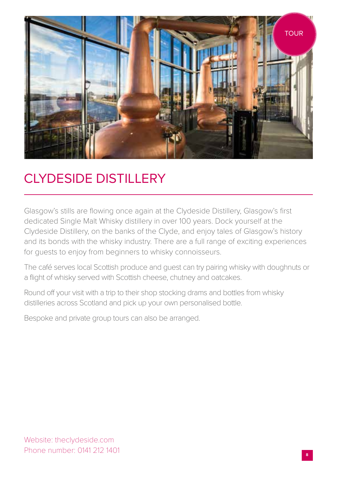

# CLYDESIDE DISTILLERY

Glasgow's stills are flowing once again at the Clydeside Distillery, Glasgow's first dedicated Single Malt Whisky distillery in over 100 years. Dock yourself at the Clydeside Distillery, on the banks of the Clyde, and enjoy tales of Glasgow's history and its bonds with the whisky industry. There are a full range of exciting experiences for guests to enjoy from beginners to whisky connoisseurs.

The café serves local Scottish produce and guest can try pairing whisky with doughnuts or a flight of whisky served with Scottish cheese, chutney and oatcakes.

Round off your visit with a trip to their shop stocking drams and bottles from whisky distilleries across Scotland and pick up your own personalised bottle.

Bespoke and private group tours can also be arranged.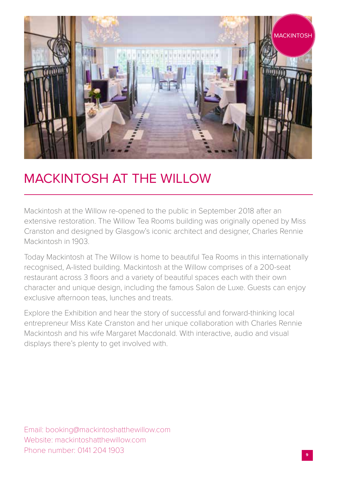

#### MACKINTOSH AT THE WILLOW

Mackintosh at the Willow re-opened to the public in September 2018 after an extensive restoration. The Willow Tea Rooms building was originally opened by Miss Cranston and designed by Glasgow's iconic architect and designer, Charles Rennie Mackintosh in 1903.

Today Mackintosh at The Willow is home to beautiful Tea Rooms in this internationally recognised, A-listed building. Mackintosh at the Willow comprises of a 200-seat restaurant across 3 floors and a variety of beautiful spaces each with their own character and unique design, including the famous Salon de Luxe. Guests can enjoy exclusive afternoon teas, lunches and treats.

Explore the Exhibition and hear the story of successful and forward-thinking local entrepreneur Miss Kate Cranston and her unique collaboration with Charles Rennie Mackintosh and his wife Margaret Macdonald. With interactive, audio and visual displays there's plenty to get involved with.

Email: booking@mackintoshatthewillow.com Website: mackintoshatthewillow.com Phone number: 0141 204 1903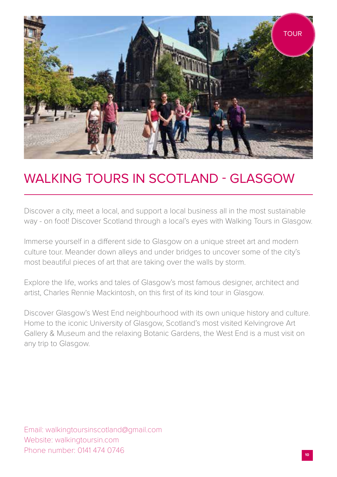

# WALKING TOURS IN SCOTLAND - GLASGOW

Discover a city, meet a local, and support a local business all in the most sustainable way - on foot! Discover Scotland through a local's eyes with Walking Tours in Glasgow.

Immerse yourself in a different side to Glasgow on a unique street art and modern culture tour. Meander down alleys and under bridges to uncover some of the city's most beautiful pieces of art that are taking over the walls by storm.

Explore the life, works and tales of Glasgow's most famous designer, architect and artist, Charles Rennie Mackintosh, on this first of its kind tour in Glasgow.

Discover Glasgow's West End neighbourhood with its own unique history and culture. Home to the iconic University of Glasgow, Scotland's most visited Kelvingrove Art Gallery & Museum and the relaxing Botanic Gardens, the West End is a must visit on any trip to Glasgow.

Email: walkingtoursinscotland@gmail.com Website: walkingtoursin.com Phone number: 0141 474 0746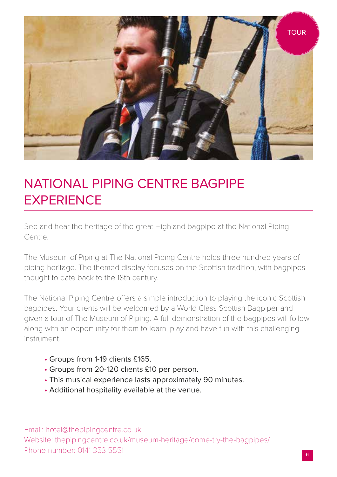

# NATIONAL PIPING CENTRE BAGPIPE **EXPERIENCE**

See and hear the heritage of the great Highland bagpipe at the National Piping Centre.

The Museum of Piping at The National Piping Centre holds three hundred years of piping heritage. The themed display focuses on the Scottish tradition, with bagpipes thought to date back to the 18th century.

The National Piping Centre offers a simple introduction to playing the iconic Scottish bagpipes. Your clients will be welcomed by a World Class Scottish Bagpiper and given a tour of The Museum of Piping. A full demonstration of the bagpipes will follow along with an opportunity for them to learn, play and have fun with this challenging instrument.

- Groups from 1-19 clients £165.
- Groups from 20-120 clients £10 per person.
- This musical experience lasts approximately 90 minutes.
- Additional hospitality available at the venue.

Email: hotel@thepipingcentre.co.uk Website: thepipingcentre.co.uk/museum-heritage/come-try-the-bagpipes/ Phone number: 0141 353 5551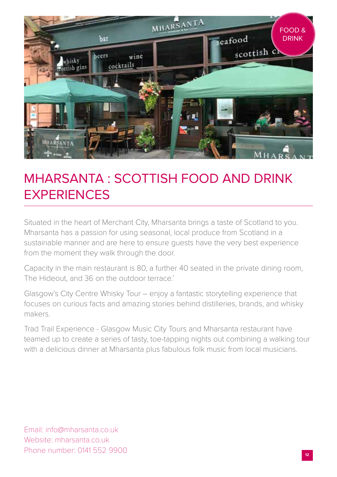

# MHARSANTA : SCOTTISH FOOD AND DRINK EXPERIENCES

Situated in the heart of Merchant City, Mharsanta brings a taste of Scotland to you. Mharsanta has a passion for using seasonal, local produce from Scotland in a sustainable manner and are here to ensure guests have the very best experience from the moment they walk through the door.

Capacity in the main restaurant is 80, a further 40 seated in the private dining room, The Hideout, and 36 on the outdoor terrace'

Glasgow's City Centre Whisky Tour – enjoy a fantastic storytelling experience that focuses on curious facts and amazing stories behind distilleries, brands, and whisky makers.

Trad Trail Experience - Glasgow Music City Tours and Mharsanta restaurant have teamed up to create a series of tasty, toe-tapping nights out combining a walking tour with a delicious dinner at Mharsanta plus fabulous folk music from local musicians.

Email: info@mharsanta.co.uk Website: mharsanta.co.uk Phone number: 0141 552 9900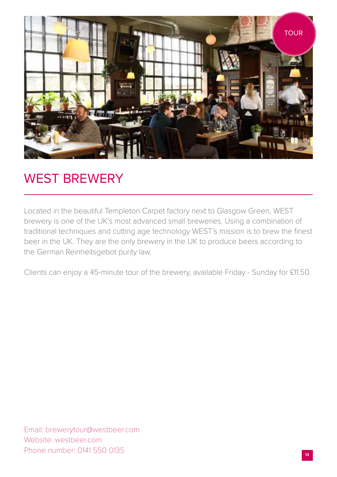

#### WEST BREWERY

Located in the beautiful Templeton Carpet factory next to Glasgow Green, WEST brewery is one of the UK's most advanced small breweries. Using a combination of traditional techniques and cutting age technology WEST's mission is to brew the finest beer in the UK. They are the only brewery in the UK to produce beers according to the German Reinheitsgebot purity law.

Clients can enjoy a 45-minute tour of the brewery, available Friday - Sunday for £11.50.

Email: brewerytour@westbeer.com Website: westbeer.com Phone number: 0141 550 0135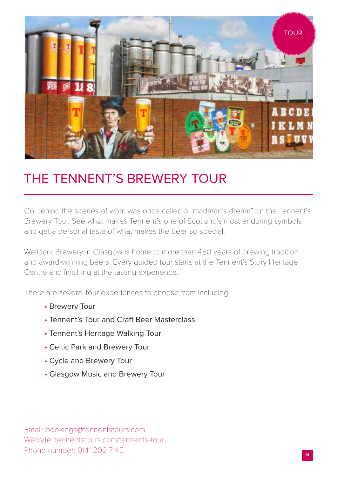

#### THE TENNENT'S BREWERY TOUR

Go behind the scenes of what was once called a "madman's dream" on the Tennent's Brewery Tour. See what makes Tennent's one of Scotland's most enduring symbols and get a personal taste of what makes the beer so special.

Wellpark Brewery in Glasgow is home to more than 450 years of brewing tradition and award-winning beers. Every guided tour starts at the Tennent's Story Heritage Centre and finishing at the tasting experience.

There are several tour experiences to choose from including:

- Brewery Tour
- Tennent's Tour and Craft Beer Masterclass
- Tennent's Heritage Walking Tour
- Celtic Park and Brewery Tour
- Cycle and Brewery Tour
- Glasgow Music and Brewery Tour

Email: bookings@tennentstours.com Website: tennentstours.com/tennents-tour Phone number: 0141 202 7145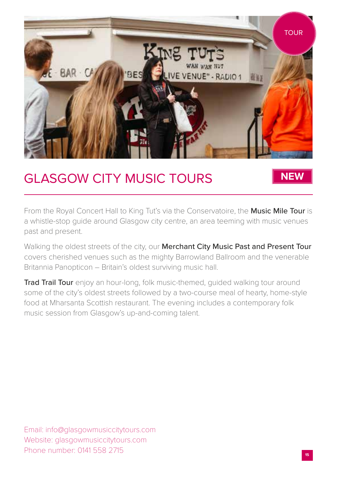

#### GLASGOW CITY MUSIC TOURS

**NEW**

From the Royal Concert Hall to King Tut's via the Conservatoire, the Music Mile Tour is a whistle-stop guide around Glasgow city centre, an area teeming with music venues past and present.

Walking the oldest streets of the city, our Merchant City Music Past and Present Tour covers cherished venues such as the mighty Barrowland Ballroom and the venerable Britannia Panopticon – Britain's oldest surviving music hall.

**Trad Trail Tour** enjoy an hour-long, folk music-themed, quided walking tour around some of the city's oldest streets followed by a two-course meal of hearty, home-style food at Mharsanta Scottish restaurant. The evening includes a contemporary folk music session from Glasgow's up-and-coming talent.

Email: info@glasgowmusiccitytours.com Website: glasgowmusiccitytours.com Phone number: 0141 558 2715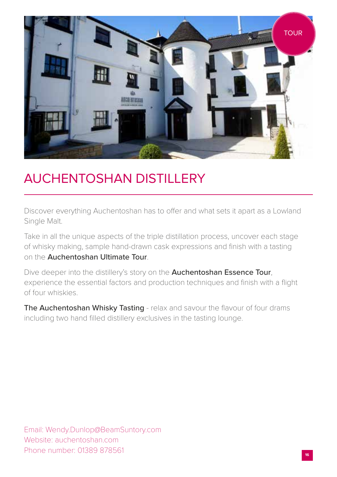

#### AUCHENTOSHAN DISTILLERY

Discover everything Auchentoshan has to offer and what sets it apart as a Lowland Single Malt.

Take in all the unique aspects of the triple distillation process, uncover each stage of whisky making, sample hand-drawn cask expressions and finish with a tasting on the Auchentoshan Ultimate Tour.

Dive deeper into the distillery's story on the **Auchentoshan Essence Tour**, experience the essential factors and production techniques and finish with a flight of four whiskies.

The Auchentoshan Whisky Tasting - relax and savour the flavour of four drams including two hand filled distillery exclusives in the tasting lounge.

Email: Wendy.Dunlop@BeamSuntory.com Website: auchentoshan.com Phone number: 01389 878561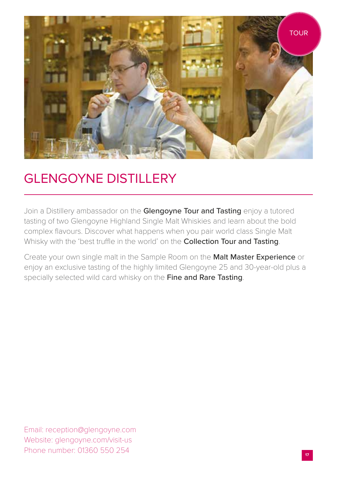

# GLENGOYNE DISTILLERY

Join a Distillery ambassador on the Glengoyne Tour and Tasting enjoy a tutored tasting of two Glengoyne Highland Single Malt Whiskies and learn about the bold complex flavours. Discover what happens when you pair world class Single Malt Whisky with the 'best truffle in the world' on the **Collection Tour and Tasting**.

Create your own single malt in the Sample Room on the Malt Master Experience or enjoy an exclusive tasting of the highly limited Glengoyne 25 and 30-year-old plus a specially selected wild card whisky on the Fine and Rare Tasting.

Email: reception@glengoyne.com Website: glengoyne.com/visit-us Phone number: 01360 550 254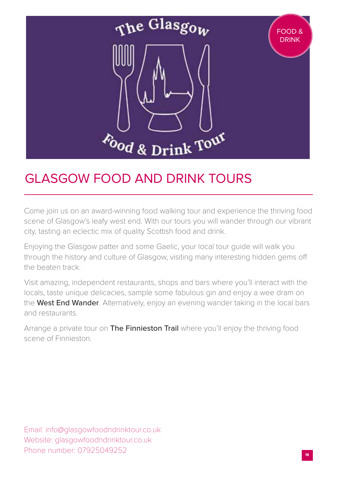

### GLASGOW FOOD AND DRINK TOURS

Come join us on an award-winning food walking tour and experience the thriving food scene of Glasgow's leafy west end. With our tours you will wander through our vibrant city, tasting an eclectic mix of quality Scottish food and drink.

Enjoying the Glasgow patter and some Gaelic, your local tour guide will walk you through the history and culture of Glasgow, visiting many interesting hidden gems off the beaten track.

Visit amazing, independent restaurants, shops and bars where you'll interact with the locals, taste unique delicacies, sample some fabulous gin and enjoy a wee dram on the West End Wander. Alternatively, enjoy an evening wander taking in the local bars and restaurants.

Arrange a private tour on The Finnieston Trail where you'll enjoy the thriving food scene of Finnieston.

Email: info@glasgowfoodndrinktour.co.uk Website: glasgowfoodndrinktour.co.uk Phone number: 07925049252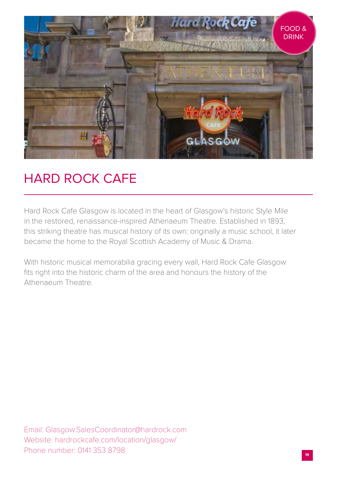

### HARD ROCK CAFE

Hard Rock Cafe Glasgow is located in the heart of Glasgow's historic Style Mile in the restored, renaissance-inspired Athenaeum Theatre. Established in 1893, this striking theatre has musical history of its own: originally a music school, it later became the home to the Royal Scottish Academy of Music & Drama.

With historic musical memorabilia gracing every wall, Hard Rock Cafe Glasgow fits right into the historic charm of the area and honours the history of the Athenaeum Theatre.

Email: Glasgow.SalesCoordinator@hardrock.com Website: hardrockcafe.com/location/glasgow/ Phone number: 0141 353 8798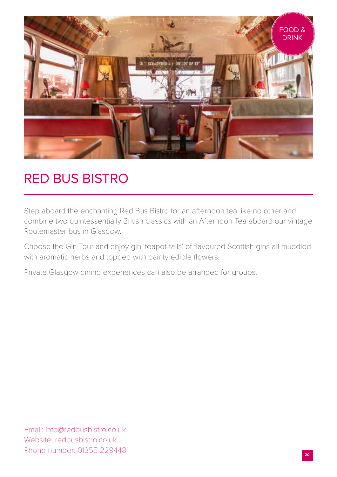

#### RED BUS BISTRO

Step aboard the enchanting Red Bus Bistro for an afternoon tea like no other and combine two quintessentially British classics with an Afternoon Tea aboard our vintage Routemaster bus in Glasgow.

Choose the Gin Tour and enjoy gin 'teapot-tails' of flavoured Scottish gins all muddled with aromatic herbs and topped with dainty edible flowers.

Private Glasgow dining experiences can also be arranged for groups.

Email: info@redbusbistro.co.uk Website: redbusbistro.co.uk Phone number: 01355 229448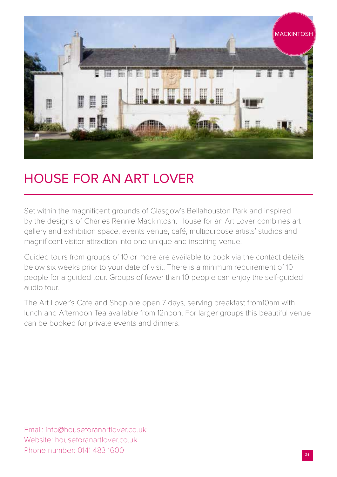

### HOUSE FOR AN ART LOVER

Set within the magnificent grounds of Glasgow's Bellahouston Park and inspired by the designs of Charles Rennie Mackintosh, House for an Art Lover combines art gallery and exhibition space, events venue, café, multipurpose artists' studios and magnificent visitor attraction into one unique and inspiring venue.

Guided tours from groups of 10 or more are available to book via the contact details below six weeks prior to your date of visit. There is a minimum requirement of 10 people for a guided tour. Groups of fewer than 10 people can enjoy the self-guided audio tour.

The Art Lover's Cafe and Shop are open 7 days, serving breakfast from10am with lunch and Afternoon Tea available from 12noon. For larger groups this beautiful venue can be booked for private events and dinners.

Email: info@houseforanartlover.co.uk Website: houseforanartlover.co.uk Phone number: 0141 483 1600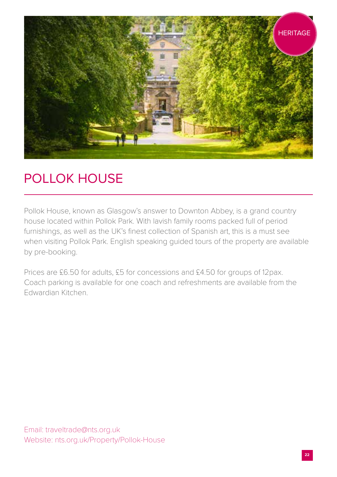

# POLLOK HOUSE

Pollok House, known as Glasgow's answer to Downton Abbey, is a grand country house located within Pollok Park. With lavish family rooms packed full of period furnishings, as well as the UK's finest collection of Spanish art, this is a must see when visiting Pollok Park. English speaking guided tours of the property are available by pre-booking.

Prices are £6.50 for adults, £5 for concessions and £4.50 for groups of 12pax. Coach parking is available for one coach and refreshments are available from the Edwardian Kitchen.

Email: traveltrade@nts.org.uk Website: nts.org.uk/Property/Pollok-House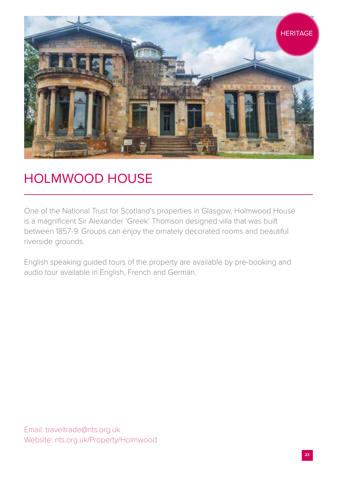

# HOLMWOOD HOUSE

One of the National Trust for Scotland's properties in Glasgow, Holmwood House is a magnificent Sir Alexander 'Greek' Thomson designed villa that was built between 1857-9. Groups can enjoy the ornately decorated rooms and beautiful riverside grounds.

English speaking guided tours of the property are available by pre-booking and audio tour available in English, French and German.

Email: traveltrade@nts.org.uk Website: nts.org.uk/Property/Holmwood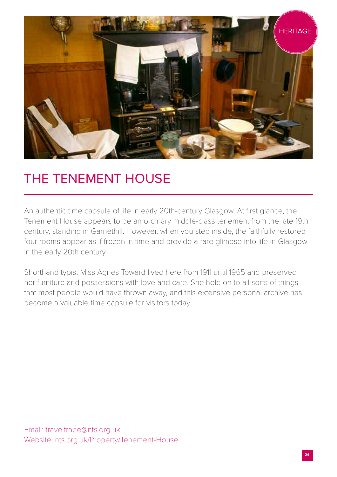

### THE TENEMENT HOUSE

An authentic time capsule of life in early 20th-century Glasgow. At first glance, the Tenement House appears to be an ordinary middle-class tenement from the late 19th century, standing in Garnethill. However, when you step inside, the faithfully restored four rooms appear as if frozen in time and provide a rare glimpse into life in Glasgow in the early 20th century.

Shorthand typist Miss Agnes Toward lived here from 1911 until 1965 and preserved her furniture and possessions with love and care. She held on to all sorts of things that most people would have thrown away, and this extensive personal archive has become a valuable time capsule for visitors today.

Email: traveltrade@nts.org.uk Website: nts.org.uk/Property/Tenement-House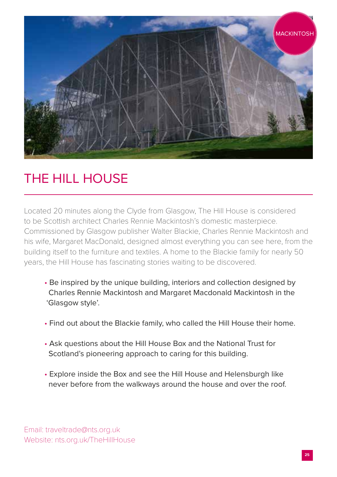

# THE HILL HOUSE

Located 20 minutes along the Clyde from Glasgow, The Hill House is considered to be Scottish architect Charles Rennie Mackintosh's domestic masterpiece. Commissioned by Glasgow publisher Walter Blackie, Charles Rennie Mackintosh and his wife, Margaret MacDonald, designed almost everything you can see here, from the building itself to the furniture and textiles. A home to the Blackie family for nearly 50 years, the Hill House has fascinating stories waiting to be discovered.

- Be inspired by the unique building, interiors and collection designed by Charles Rennie Mackintosh and Margaret Macdonald Mackintosh in the 'Glasgow style'.
- Find out about the Blackie family, who called the Hill House their home.
- Ask questions about the Hill House Box and the National Trust for Scotland's pioneering approach to caring for this building.
- Explore inside the Box and see the Hill House and Helensburgh like never before from the walkways around the house and over the roof.